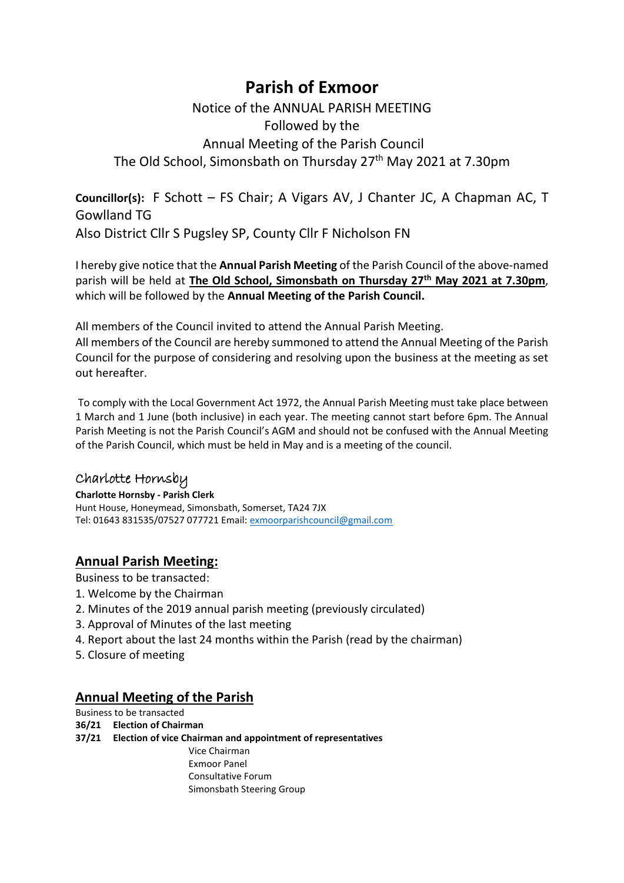# **Parish of Exmoor**

# Notice of the ANNUAL PARISH MEETING Followed by the Annual Meeting of the Parish Council The Old School, Simonsbath on Thursday 27<sup>th</sup> May 2021 at 7.30pm

**Councillor(s):** F Schott – FS Chair; A Vigars AV, J Chanter JC, A Chapman AC, T Gowlland TG Also District Cllr S Pugsley SP, County Cllr F Nicholson FN

I hereby give notice that the **Annual Parish Meeting** of the Parish Council of the above-named parish will be held at **The Old School, Simonsbath on Thursday 27 th May 2021 at 7.30pm**, which will be followed by the **Annual Meeting of the Parish Council.**

All members of the Council invited to attend the Annual Parish Meeting.

All members of the Council are hereby summoned to attend the Annual Meeting of the Parish Council for the purpose of considering and resolving upon the business at the meeting as set out hereafter.

To comply with the Local Government Act 1972, the Annual Parish Meeting must take place between 1 March and 1 June (both inclusive) in each year. The meeting cannot start before 6pm. The Annual Parish Meeting is not the Parish Council's AGM and should not be confused with the Annual Meeting of the Parish Council, which must be held in May and is a meeting of the council.

## Charlotte Hornsby

**Charlotte Hornsby - Parish Clerk** Hunt House, Honeymead, Simonsbath, Somerset, TA24 7JX Tel: 01643 831535/07527 077721 Email[: exmoorparishcouncil@gmail.com](mailto:exmoorparishcouncil@gmail.com)

## **Annual Parish Meeting:**

Business to be transacted:

- 1. Welcome by the Chairman
- 2. Minutes of the 2019 annual parish meeting (previously circulated)
- 3. Approval of Minutes of the last meeting
- 4. Report about the last 24 months within the Parish (read by the chairman)
- 5. Closure of meeting

## **Annual Meeting of the Parish**

Business to be transacted **36/21 Election of Chairman 37/21 Election of vice Chairman and appointment of representatives** Vice Chairman Exmoor Panel Consultative Forum Simonsbath Steering Group